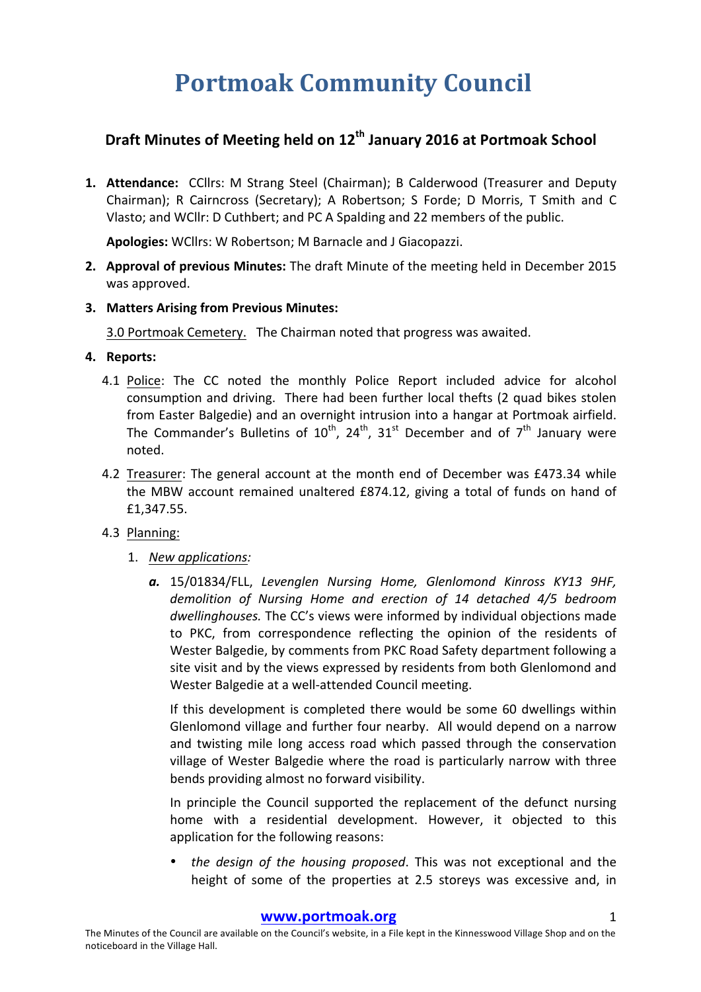## **Portmoak Community Council**

## **Draft Minutes of Meeting held on 12th January 2016 at Portmoak School**

**1. Attendance:** CCllrs: M Strang Steel (Chairman); B Calderwood (Treasurer and Deputy Chairman); R Cairncross (Secretary); A Robertson; S Forde; D Morris, T Smith and C Vlasto: and WCllr: D Cuthbert: and PC A Spalding and 22 members of the public.

Apologies: WCllrs: W Robertson; M Barnacle and J Giacopazzi.

- **2. Approval of previous Minutes:** The draft Minute of the meeting held in December 2015 was approved.
- **3. Matters Arising from Previous Minutes:**

3.0 Portmoak Cemetery. The Chairman noted that progress was awaited.

- **4.** Reports:
	- 4.1 Police: The CC noted the monthly Police Report included advice for alcohol consumption and driving. There had been further local thefts (2 quad bikes stolen from Easter Balgedie) and an overnight intrusion into a hangar at Portmoak airfield. The Commander's Bulletins of  $10^{th}$ ,  $24^{th}$ ,  $31^{st}$  December and of  $7^{th}$  January were noted.
	- 4.2 Treasurer: The general account at the month end of December was £473.34 while the MBW account remained unaltered  $£874.12$ , giving a total of funds on hand of £1,347.55.
	- 4.3 Planning:
		- 1. *New applications:*
			- a. 15/01834/FLL, Levenglen Nursing Home, Glenlomond Kinross KY13 9HF, *demolition of Nursing Home and erection of 14 detached 4/5 bedroom dwellinghouses*. The CC's views were informed by individual objections made to PKC, from correspondence reflecting the opinion of the residents of Wester Balgedie, by comments from PKC Road Safety department following a site visit and by the views expressed by residents from both Glenlomond and Wester Balgedie at a well-attended Council meeting.

If this development is completed there would be some 60 dwellings within Glenlomond village and further four nearby. All would depend on a narrow and twisting mile long access road which passed through the conservation village of Wester Balgedie where the road is particularly narrow with three bends providing almost no forward visibility.

In principle the Council supported the replacement of the defunct nursing home with a residential development. However, it objected to this application for the following reasons:

the design of the housing proposed. This was not exceptional and the height of some of the properties at 2.5 storeys was excessive and, in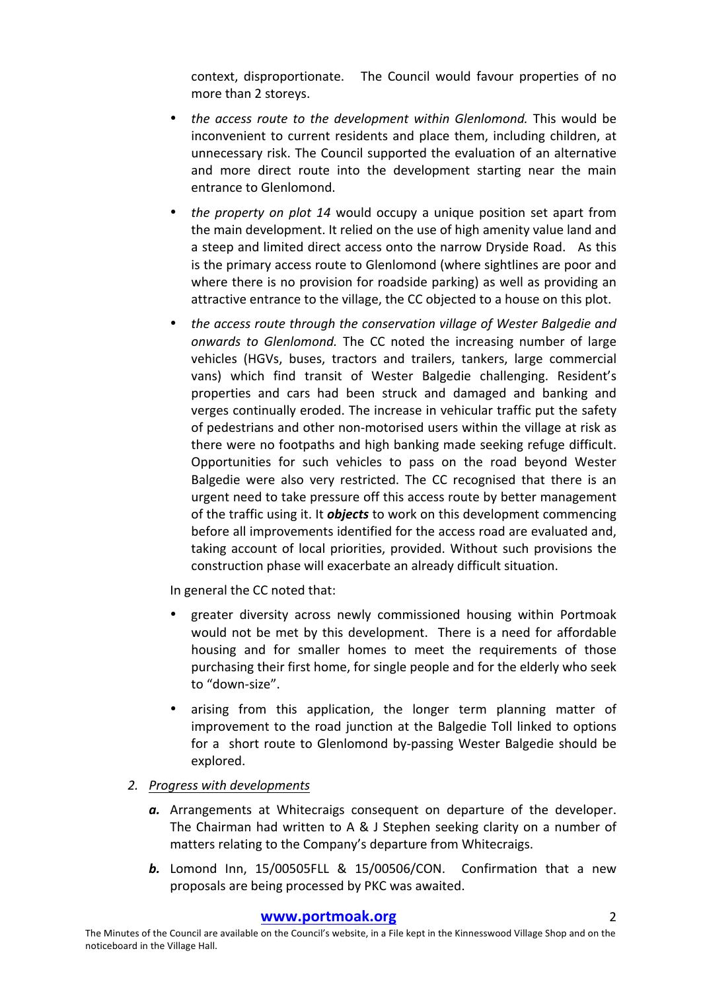context, disproportionate. The Council would favour properties of no more than 2 storeys.

- *the access route to the development within Glenlomond.* This would be inconvenient to current residents and place them, including children, at unnecessary risk. The Council supported the evaluation of an alternative and more direct route into the development starting near the main entrance to Glenlomond.
- *the property on plot 14* would occupy a unique position set apart from the main development. It relied on the use of high amenity value land and a steep and limited direct access onto the narrow Dryside Road. As this is the primary access route to Glenlomond (where sightlines are poor and where there is no provision for roadside parking) as well as providing an attractive entrance to the village, the CC objected to a house on this plot.
- the access route through the conservation village of Wester Balgedie and *onwards* to *Glenlomond*. The CC noted the increasing number of large vehicles (HGVs, buses, tractors and trailers, tankers, large commercial vans) which find transit of Wester Balgedie challenging. Resident's properties and cars had been struck and damaged and banking and verges continually eroded. The increase in vehicular traffic put the safety of pedestrians and other non-motorised users within the village at risk as there were no footpaths and high banking made seeking refuge difficult. Opportunities for such vehicles to pass on the road beyond Wester Balgedie were also very restricted. The CC recognised that there is an urgent need to take pressure off this access route by better management of the traffic using it. It *objects* to work on this development commencing before all improvements identified for the access road are evaluated and, taking account of local priorities, provided. Without such provisions the construction phase will exacerbate an already difficult situation.

In general the CC noted that:

- greater diversity across newly commissioned housing within Portmoak would not be met by this development. There is a need for affordable housing and for smaller homes to meet the requirements of those purchasing their first home, for single people and for the elderly who seek to "down-size".
- arising from this application, the longer term planning matter of improvement to the road junction at the Balgedie Toll linked to options for a short route to Glenlomond by-passing Wester Balgedie should be explored.
- 2. Progress with developments
	- a. Arrangements at Whitecraigs consequent on departure of the developer. The Chairman had written to A & J Stephen seeking clarity on a number of matters relating to the Company's departure from Whitecraigs.
	- **b.** Lomond Inn, 15/00505FLL & 15/00506/CON. Confirmation that a new proposals are being processed by PKC was awaited.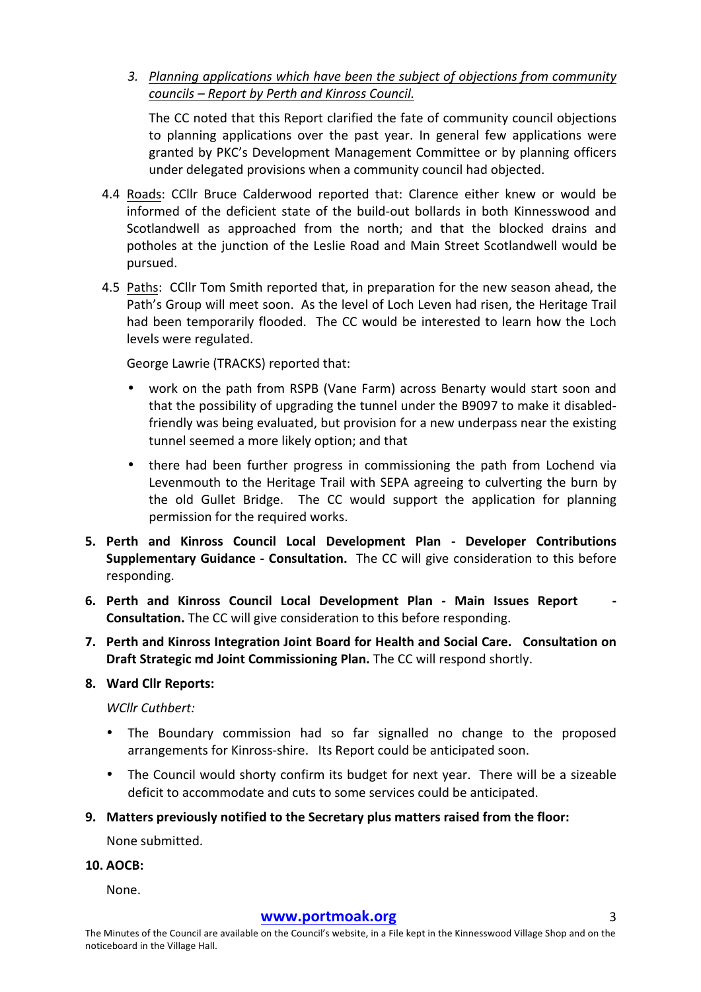3. Planning applications which have been the subject of objections from community *councils – Report by Perth and Kinross Council.*

The CC noted that this Report clarified the fate of community council objections to planning applications over the past year. In general few applications were granted by PKC's Development Management Committee or by planning officers under delegated provisions when a community council had objected.

- 4.4 Roads: CCllr Bruce Calderwood reported that: Clarence either knew or would be informed of the deficient state of the build-out bollards in both Kinnesswood and Scotlandwell as approached from the north; and that the blocked drains and potholes at the junction of the Leslie Road and Main Street Scotlandwell would be pursued.
- 4.5 Paths: CCllr Tom Smith reported that, in preparation for the new season ahead, the Path's Group will meet soon. As the level of Loch Leven had risen, the Heritage Trail had been temporarily flooded. The CC would be interested to learn how the Loch levels were regulated.

George Lawrie (TRACKS) reported that:

- work on the path from RSPB (Vane Farm) across Benarty would start soon and that the possibility of upgrading the tunnel under the B9097 to make it disabledfriendly was being evaluated, but provision for a new underpass near the existing tunnel seemed a more likely option; and that
- there had been further progress in commissioning the path from Lochend via Levenmouth to the Heritage Trail with SEPA agreeing to culverting the burn by the old Gullet Bridge. The CC would support the application for planning permission for the required works.
- **5. Perth and Kinross Council Local Development Plan - Developer Contributions Supplementary Guidance - Consultation.** The CC will give consideration to this before responding.
- **6.** Perth and Kinross Council Local Development Plan Main Issues Report **Consultation.** The CC will give consideration to this before responding.
- **7.** Perth and Kinross Integration Joint Board for Health and Social Care. Consultation on **Draft Strategic md Joint Commissioning Plan.** The CC will respond shortly.
- **8. Ward Cllr Reports:**

*WCllr Cuthbert:*

- The Boundary commission had so far signalled no change to the proposed arrangements for Kinross-shire. Its Report could be anticipated soon.
- The Council would shorty confirm its budget for next year. There will be a sizeable deficit to accommodate and cuts to some services could be anticipated.
- **9.** Matters previously notified to the Secretary plus matters raised from the floor:

None submitted.

**10. AOCB:**

None.